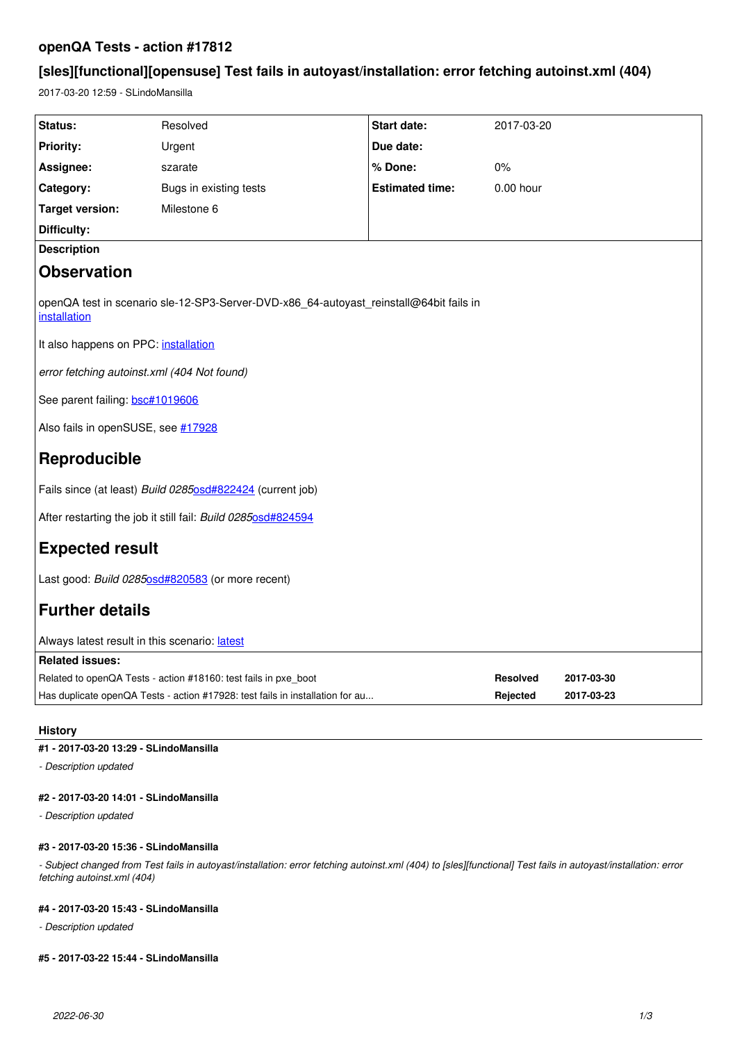# **openQA Tests - action #17812**

# **[sles][functional][opensuse] Test fails in autoyast/installation: error fetching autoinst.xml (404)**

2017-03-20 12:59 - SLindoMansilla

| Status:                                                                                                | Resolved               | <b>Start date:</b>     | 2017-03-20      |            |
|--------------------------------------------------------------------------------------------------------|------------------------|------------------------|-----------------|------------|
| <b>Priority:</b>                                                                                       | Urgent                 | Due date:              |                 |            |
| Assignee:                                                                                              | szarate                | % Done:                | $0\%$           |            |
| Category:                                                                                              | Bugs in existing tests | <b>Estimated time:</b> | $0.00$ hour     |            |
| <b>Target version:</b>                                                                                 | Milestone 6            |                        |                 |            |
| <b>Difficulty:</b>                                                                                     |                        |                        |                 |            |
| <b>Description</b>                                                                                     |                        |                        |                 |            |
| <b>Observation</b>                                                                                     |                        |                        |                 |            |
| openQA test in scenario sle-12-SP3-Server-DVD-x86_64-autoyast_reinstall@64bit fails in<br>installation |                        |                        |                 |            |
| It also happens on PPC: installation                                                                   |                        |                        |                 |            |
| error fetching autoinst.xml (404 Not found)                                                            |                        |                        |                 |            |
| See parent failing: bsc#1019606                                                                        |                        |                        |                 |            |
| Also fails in openSUSE, see #17928                                                                     |                        |                        |                 |            |
| Reproducible                                                                                           |                        |                        |                 |            |
| Fails since (at least) Build 02850sd#822424 (current job)                                              |                        |                        |                 |            |
| After restarting the job it still fail: Build 02850sd#824594                                           |                        |                        |                 |            |
| <b>Expected result</b>                                                                                 |                        |                        |                 |            |
| Last good: Build 02850sd#820583 (or more recent)                                                       |                        |                        |                 |            |
| <b>Further details</b>                                                                                 |                        |                        |                 |            |
| Always latest result in this scenario: latest                                                          |                        |                        |                 |            |
| <b>Related issues:</b>                                                                                 |                        |                        |                 |            |
| Related to openQA Tests - action #18160: test fails in pxe_boot                                        |                        |                        | <b>Resolved</b> | 2017-03-30 |
| Has duplicate openQA Tests - action #17928: test fails in installation for au                          |                        |                        | Rejected        | 2017-03-23 |

# **History**

# **#1 - 2017-03-20 13:29 - SLindoMansilla**

*- Description updated*

# **#2 - 2017-03-20 14:01 - SLindoMansilla**

*- Description updated*

# **#3 - 2017-03-20 15:36 - SLindoMansilla**

*- Subject changed from Test fails in autoyast/installation: error fetching autoinst.xml (404) to [sles][functional] Test fails in autoyast/installation: error fetching autoinst.xml (404)*

# **#4 - 2017-03-20 15:43 - SLindoMansilla**

*- Description updated*

# **#5 - 2017-03-22 15:44 - SLindoMansilla**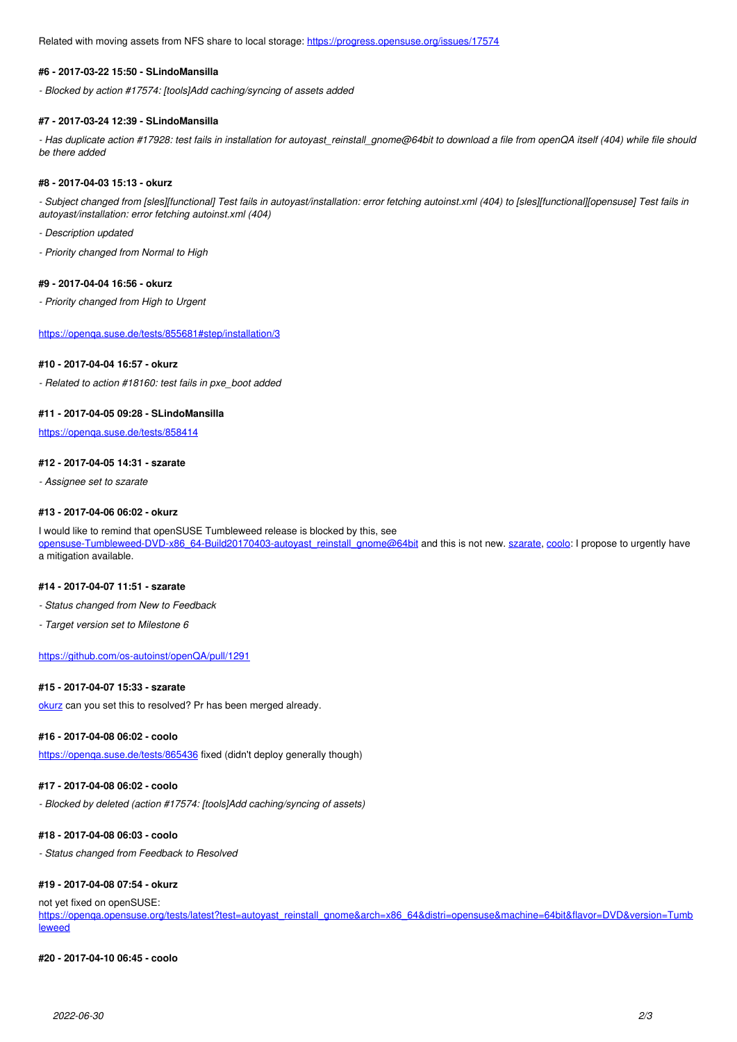Related with moving assets from NFS share to local storage:<https://progress.opensuse.org/issues/17574>

#### **#6 - 2017-03-22 15:50 - SLindoMansilla**

*- Blocked by action #17574: [tools]Add caching/syncing of assets added*

### **#7 - 2017-03-24 12:39 - SLindoMansilla**

*- Has duplicate action #17928: test fails in installation for autoyast\_reinstall\_gnome@64bit to download a file from openQA itself (404) while file should be there added*

#### **#8 - 2017-04-03 15:13 - okurz**

*- Subject changed from [sles][functional] Test fails in autoyast/installation: error fetching autoinst.xml (404) to [sles][functional][opensuse] Test fails in autoyast/installation: error fetching autoinst.xml (404)*

- *Description updated*
- *Priority changed from Normal to High*

#### **#9 - 2017-04-04 16:56 - okurz**

*- Priority changed from High to Urgent*

<https://openqa.suse.de/tests/855681#step/installation/3>

# **#10 - 2017-04-04 16:57 - okurz**

*- Related to action #18160: test fails in pxe\_boot added*

# **#11 - 2017-04-05 09:28 - SLindoMansilla**

<https://openqa.suse.de/tests/858414>

### **#12 - 2017-04-05 14:31 - szarate**

*- Assignee set to szarate*

#### **#13 - 2017-04-06 06:02 - okurz**

I would like to remind that openSUSE Tumbleweed release is blocked by this, see [opensuse-Tumbleweed-DVD-x86\\_64-Build20170403-autoyast\\_reinstall\\_gnome@64bit](https://openqa.opensuse.org/tests/381663) and this is not new. [szarate](progress.opensuse.org/users/23010), [coolo:](progress.opensuse.org/users/15) I propose to urgently have a mitigation available.

#### **#14 - 2017-04-07 11:51 - szarate**

- *Status changed from New to Feedback*
- *Target version set to Milestone 6*

#### <https://github.com/os-autoinst/openQA/pull/1291>

#### **#15 - 2017-04-07 15:33 - szarate**

[okurz](progress.opensuse.org/users/17668) can you set this to resolved? Pr has been merged already.

### **#16 - 2017-04-08 06:02 - coolo**

https://openga.suse.de/tests/865436 fixed (didn't deploy generally though)

#### **#17 - 2017-04-08 06:02 - coolo**

*- Blocked by deleted (action #17574: [tools]Add caching/syncing of assets)*

### **#18 - 2017-04-08 06:03 - coolo**

*- Status changed from Feedback to Resolved*

# **#19 - 2017-04-08 07:54 - okurz**

not yet fixed on openSUSE:

[https://openqa.opensuse.org/tests/latest?test=autoyast\\_reinstall\\_gnome&arch=x86\\_64&distri=opensuse&machine=64bit&flavor=DVD&version=Tumb](https://openqa.opensuse.org/tests/latest?test=autoyast_reinstall_gnome&arch=x86_64&distri=opensuse&machine=64bit&flavor=DVD&version=Tumbleweed) [leweed](https://openqa.opensuse.org/tests/latest?test=autoyast_reinstall_gnome&arch=x86_64&distri=opensuse&machine=64bit&flavor=DVD&version=Tumbleweed)

### **#20 - 2017-04-10 06:45 - coolo**